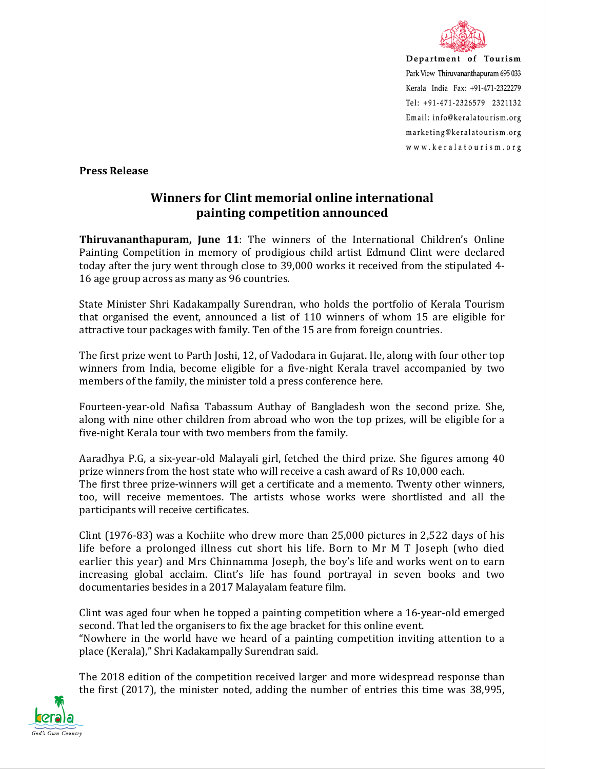

Department of Tourism Park View Thiruvananthapuram 695 033 Kerala India Fax: +91-471-2322279 Tel: +91-471-2326579 2321132 Email: info@keralatourism.org marketing@keralatourism.org www.keralatourism.org

**Press Release** 

## **Winners for Clint memorial online international painting competition announced**

**Thiruvananthapuram, June 11**: The winners of the International Children's Online Painting Competition in memory of prodigious child artist Edmund Clint were declared today after the jury went through close to 39,000 works it received from the stipulated 4- 16 age group across as many as 96 countries.

State Minister Shri Kadakampally Surendran, who holds the portfolio of Kerala Tourism that organised the event, announced a list of 110 winners of whom 15 are eligible for attractive tour packages with family. Ten of the 15 are from foreign countries.

The first prize went to Parth Joshi, 12, of Vadodara in Gujarat. He, along with four other top winners from India, become eligible for a five-night Kerala travel accompanied by two members of the family, the minister told a press conference here.

Fourteen-year-old Nafisa Tabassum Authay of Bangladesh won the second prize. She, along with nine other children from abroad who won the top prizes, will be eligible for a five-night Kerala tour with two members from the family.

Aaradhya P.G, a six-year-old Malayali girl, fetched the third prize. She figures among 40 prize winners from the host state who will receive a cash award of Rs 10,000 each. The first three prize-winners will get a certificate and a memento. Twenty other winners, too, will receive mementoes. The artists whose works were shortlisted and all the participants will receive certificates.

Clint (1976-83) was a Kochiite who drew more than 25,000 pictures in 2,522 days of his life before a prolonged illness cut short his life. Born to Mr M T Joseph (who died earlier this year) and Mrs Chinnamma Joseph, the boy's life and works went on to earn increasing global acclaim. Clint's life has found portrayal in seven books and two documentaries besides in a 2017 Malayalam feature film.

Clint was aged four when he topped a painting competition where a 16-year-old emerged second. That led the organisers to fix the age bracket for this online event. "Nowhere in the world have we heard of a painting competition inviting attention to a

place (Kerala)," Shri Kadakampally Surendran said.

The 2018 edition of the competition received larger and more widespread response than the first (2017), the minister noted, adding the number of entries this time was 38,995,